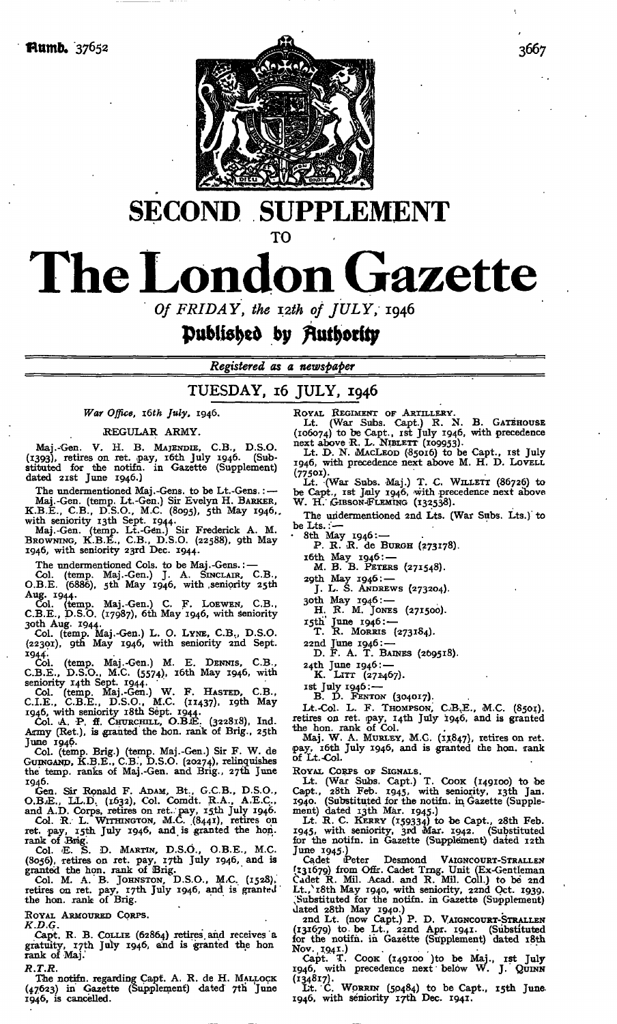

## **SECOND SUPPLEMENT**

**TO**

# **The London Gazette**

*Of FRIDAY, the i2th of JULY,* 1946

### **published** by Authority

*Registered as a newspaper*

#### TUESDAY, 16 JULY, 1946

#### *War Office, i6th July,* 1946.

REGULAR ARMY.

Maj.-Gen. V. H. B. MAJENDIE, C.B., D.S.O.<br>(1393), retires on ret. pay, 16th July 1946. (Sub-<br>stituted for the notifn. in Gazette (Supplement) dated 21st June 1946.)

The undermentioned Maj.-Gens. to be Lt.-Gens.: --<br>Maj.-Gen. (temp. Lt.-Gen.) Sir Evelyn H. BARKER,<br>K.B.E., C.B., D.S.O., M.C. (8095), 5th May 1946,<br>with senority 13th Sept. 1944.<br>Maj.-Gen. (temp. Lt.-Gen.) Sir Frederick A.

1946, with seniority 23rd Dec. 1944.

The undermentioned Cols, to be Maj.-Gens.: — Col. (temp. Maj.-Gen.) J. A. SINCLAIR, C.B.,

O.B.E. (6886), 5th May 1946, with seniority 25th Aug. 1944. Col. (temp. Maj.-Gen.) C. F. LOEWEN, C.B.,

C.B.E., D.S.O. (17987), 6th May 1946, with seniority

30th Aug. 1944- Col. (temp. Maj.-Gen.) L. O. LYNE, C.B., D.S.O. (22301), 9th May 1946, with seniority 2nd Sept. 1944.<br>Col.

Col. (temp. Maj.-Gen.) M. E. DENNIS, C.B.,<br>C.B.E., D.S.O., M.C. (5574), 16th May 1946, with

seniority 14th Sept. 1944.<br>
Col. (temp. Maj.-Gen.) W. F. HASTED, C.B.,<br>
C.I.E., C.B.E., D.S.O., M.C. (11437). 19th May<br>
1946, with seniority 18th Sept. 1944.<br>
Col. A. P. ff. Caroncerur, O.B.E. (322818). Ind.<br>
Army (Ret.),

June 1946.

Col. (temp. Brig.) (temp. Maj.-Gen.) Sir F. W. de GUINGAND, K.B.E., C.B., D.S.O. (20274), relinquishes the temp. ranks of Maj.-Gen. and Brig., 27th June 1946.

Gen. Sir Ronald F. ADAM, Bt., G.C.B., D.S.O., O.B..E., LL.D, (1632), Col. Comdt. R.A., A.E.C., and A.D. Corps, retires on ret. pay, 15th July 1946. Col. R. L. WITHINGTON, M.C. (8441), retires on ret. pay, 15th July 1946, and is granted the hon.

rank of Brig. Col. 'E. S. D. MARTIN, D.S.O., O.B.E., M.C.

(8056), retires on ret. pay, iTth July 1946, and is granted the hon. rank of Brig. Col. M. A.'B. JOHNSTON, D.S.O., M.C. (1528), retires on ret. pay, I7th July 1946, and is granteJ

the hon. rank of Brig.

ROYAL ARMOURED CORPS.

*K.D.G.*

Capt. R. B. COLLIE (62864) retires, and receives a gratuity, 17th July 1946, and is granted the hon rank of Maj.'

*R.T.R.*

The notifn. regarding Capt. A. R. de H. MALLOCK (47623) in Gazette (Supplement) dated 7tti June 1946, is cancelled.

ROYAL REGIMENT OF ARTILLERY.<br>
Lt. (War Subs. Capt.) R. N. B. GATEHOUSE<br>
(106074) to be Capt., 1st July 1946, with precedence<br>
next above R. L. NIBLETT (109953).<br>
Lt. D. N. MACLEOD (85016) to be Capt., 1st July<br>
1946, with

(77501).<br>Lt. (War Subs. Maj.) T. C. WILLETT (86726) to<br>be Capt., ist July 1946, with precedence next above<br>W. H. GIBSON-FLEMING (132538).

The undermentioned 2nd Lts. (War Subs. Lts.) to be Lts.

• 8th May 1946:— P. R. R. de BURGH (273178).

i6th May 1946: — M. B. B. PETERS (271548).

29th May 1946: — J. L. S. ANDREWS (273204).

3oth May 1946: — H. R. M. JONES (271500).

15th' June 1946: — T. R. MORRIS (273184).

22nd June 1946:— D. F. A. T. BAINES (269518).

24th June 1946:— K. LITT (271467).

ist July 1946: — B. D. FENTON (304017).

Lt.-Col. L. F. THOMPSON, C.B.E., M.C. (8501).<br>retires on ret. pay, 14th July 1946, and is granted the hon. rank of Col.

Maj. W. A. MURLEY, M.C. (11847), retires on ret. pay, 16th July 1946, and is granted the hon. rank of Lt. Col.

ROYAL CORPS OF SIGNALS. Lt. (War Subs. Capt.) T. COOK (149100) to be Capt., 28th Feb. 1945, with seniority, 13th Jan.<br>1940. (Substituted for the notifn. in Gazette (Supplement) dated 13th Mar. 1945.)<br>Lt. R. C. KERRY (159334) to be Capt., 28th Feb.<br>Lt. R. C. KERRY (159334) to be Capt., 28th

June 1945.)<br>Cadet Peter

Cadet Peter Desmond VAIGNCOURT-STRALLEN<br>(131679) from Offir. Cadet Trng. Unit (Ex-Gentleman<br>Cadet R. Mil. Acad. and R. Mil. Coll.) to be 2nd<br>Lt., 18th May 1940, with seniority, 22nd Oct. 1939. ^Substituted for the notifn. in Gazette (Supplement) dated 28th May 1940.)

2nd Lt. (now Capt.) P. D. VAIGNCOURT-STRALLEN (131679) to. be Lt., 22nd Apr. 1941. (Substituted for the notifn. in Gazette (Supplement) dated i8th

Nov. 1941.)<br>Capt. T. Cook (149100 )to be Maj., ist July<br>1946, with precedence next below W. J. QUINN

(134817). Lt. C. WORRIN (5P484) to be Capt., i5th June-1946, with seniority iTth Dec. 1941.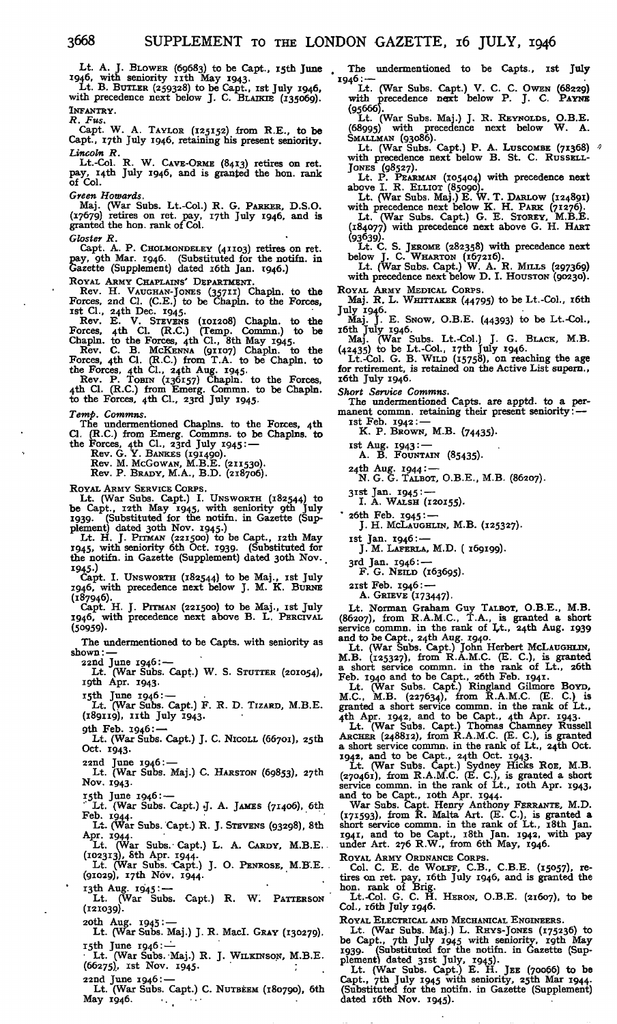Lt. A. J. BLOWER (69683) to be Capt., isth June 1946, with seniority nth May 1943. Lt. B. BUTLER (259328) to be Capt., ist July 1946,

with precedence next below J. C. BLAIKIE (135069). INFANTRY.

*R. Fus.*

Capt. W. A. TAYLOR (125152) from R.E., to be Capt., I7th July 1946, retaining his present seniority.

*Lincoln R.* Lt.-Col. R. W. CAVE-ORME (8413) retires on ret. pay, i4th July 1946, and is granted the hon. rank pay, 1.<br>of Col.

*Green Howards.*

Maj. (War Subs. Lt.-Col.) R. G. PARKER, D.S.O. (17679) retires on ret. pay, 17th July 1946, and is granted the hon. rank of Col.

*Gloster R.* Capt. A. P. CHOLMONDELEY (41103) retires on ret. pay, gth Mar. 1946. (Substituted for the notifn. in Gazette (Supplement) dated i6th Jan. 1946.)

ROYAL ARMY CHAPLAINS' DEPARTMENT.<br>
Rev. H. VAUGHAN-JONES (35711) Chapln. to the<br>
Forces, 2nd Cl. (C.E.) to be Chapln. to the Forces,<br>
1810. 24th Dec. 1945.<br>
Rev. E. V. STEVENS (101208) Chapln. to the<br>
Forces, 4th Cl. (R.C.

Forces, 4th Cl. (R.C.) from T.A. to be Chapln. to<br>the Forces, 4th Cl., 24th Aug. 1945.<br>Rev. P. ToBIN (136157) Chapln. to the Forces,<br>4th Cl. (R.C.) from Emerg. Commn. to be Chapln.<br>to the Forces, 4th Cl., 23rd July 1945.

*Temp. Commns.*

The undermentioned Chaplns. to the Forces, 4th<br>Cl. (R.C.) from Emerg. Commns. to be Chaplns. to<br>the Forces, 4th Cl., 23rd July 1945:—<br>Rev. G. Y. BANKES (191490).<br>Rev. M. MCGOWAN, M.B.E. (211530).<br>Rev. P. BRADY, M.A., B.D.

ROYAL ARMY SERVICE CORPS.

Lt. (War Subs. Capt.) I. UNSWORTH (182544) to be Capt., i2th May 1945, with seniority gth July 1939- (Substituted for the notifn. in Gazette (Sup-

plement) dated 3Oth Nov. 1945.) Lt. H. J. PITMAN (221500) to be Capt., i2th May 1945, with seniority 6th Oct. 1939. (Substituted for the notifn. in Gazette (Supplement) dated 3oth Nov.

I945-) Capt. I. UNSWORTH (182544) to be Maj., ist July 1946, with precedence next below J. M. K. BURNS (187946).

Capt. H. J. PITMAN (221500) to be Maj., ist July 1946, with precedence next above B. L. PERCIVAL (50959).

The undermentioned to be Capts. with seniority as shown: —

22nd June 1946: — Lt. (War Subs. Capt.) W. S. STUTTER (201054), igth Apr. 1943.

i5th June 1946: — Lt. (War Subs. Capt.) F. R. D. TIZARD, M.B.E. (189119), nth July 1943.

gth Feb. 1946: —

Lt. (War Subs. Capt.) J. C. Nicoll (66701), 25th Oct. 1943.

22nd June 1946: — Lt. (War Subs. Maj.) C. HARSTON (69853), 27th Nov. 1943.

15th June 1946:—

 $\text{L}_1$ . (War Subs. Capt.) J. A. JAMES (71406), 6th Feb. 1944.<br>Lt. (War Subs. Capt.) R. J. STEVENS (93298), 8th

Apr. 1944.

Lt. (War Subs. Capt.) L. A. CARDY, M.B.E.<br>(102313), 8th Apr. 1944.<br>Lt. (War Subs. Capt.) J. O. PENROSE, M.B.E.

(giO29), i7th Nov. 1944.

i3th Aug. 1945: — Lt. (War Subs. Capt.) R. W: PATTERSON (121039).

2Oth Aug. 1945: — Lt. (War Subs. Maj.) J. R. Macl. GRAY (130279).  $15th$  June  $1946$  :  $-$ 

Lt. (War Subs.-Maj.) R. J. WILKINSON, M.B.E.<br>(66275), Ist Nov. 1945. (66275), Ist Nov. 1945.

22nd June 1946:— Lt. (War Subs. Capt.) C. NUTBEEM (180790), 6th May 1946.

The undermentioned to be Capts., ist July 1946:—

Lt. (War Subs. Capt.) V. C. C. OWEN (68229) with precedence next below P. J. C. PAYNE (95666).

Lt. (War Subs. Maj.) J. R. REYNOLDS, O.B.E. (68995) with precedence next below W. A. SMALLMAN (93086). Lt. (War Subs. Capt.) P. A. LUSCOMBE (71368) with precedence next below B. St. C. RUSSELL-

JONES (98527). Lt. P. PEARMAN (105404) with precedence next above I. R. ELLIOT (85090).

Lt. (War Subs. Maj.) E. W. T. DARLOW (124891)<br>with precedence next below K. H. PARK (71276).<br>Lt. (War Subs. Capt.) G. E. STOREY, M.B.E.<br>(184077) with precedence next above G. H. HART

(93639)- Lt. C. S. JEROME (282358) with precedence next below J. C. WHARTON (167216).

Lt. (War Subs. Capt.) W. A. R. MILLS (297369) with precedence next below D. I. HOUSTON (90230).

ROYAL ARMY MEDICAL CORPS. Maj. R. L. WHITTAKER (44795) to be Lt.-Col., i6th

July 1946- Maj. J. E. SNOW, O.B.E. (44393) to be Lt.-Col.,

i6th July 1946. Maj. (War Subs. Lt.-Col.) J. G. BLACK, M.B. (42435) to be Lt.-Col., i7th July 1946. Lt.-Col. G. B. WILD (15758), on reaching the age for retirement, is retained on *tine* Active List supern., i6th July 1946.

*Short Service Commns.* The undermentioned Capts. are apptd. to a permanent commn. retaining their present seniority: —

Ist Feb. 1942: —<br>K. P. BROWN, M.B. (74435).

Ist Aug. 1943: - (85435).<br>
A. B. Fountain (85435).

24th Aug. 1944: — N. G. G. TALBOT, O.B.E., M.B. (86207).

31st Jan. 1945: ---<br>I. A. WALSH (120155).

" 26th Feb. 1945: — J. H. MCLAUGHLIN, M.B. (125327).

ist Jan. 1946:— J. M. LAFERLA, M.D. ( 169199).

3rd Jan. 1946: ---<br>F. G. NEILD (163695).

2ist Feb. 1946: — A. GRIEVE (173447).

Lt. Norman Graham Guy TALBOT, O.B.E., M.B. (86207), from R.A.M.C., T.A., is granted a short service commn. in the rank of Lt., 24th Aug. 1939 and to be Capt., 24th Aug. 1940. Lt. (War Subs. Capt.) John Herbert MCLAUGHLIN,

M.B.  $(125327)$ , from  $R.\tilde{A.M.C.}$  (E. C.), is granted<br>a short service commn. in the rank of Lt., 26th<br>Feb. 1940 and to be Capt., 26th Feb. 1941.<br>Lt. (War Subs. Capt.) Ringland Gilmore Bovn,<br>Lt. (M.B. (27564), from R.A.M.

Lt. (War Subs. Capt.) Thomas Chamney Russell ARCHER (248812), from R.A.M.C. (E. C.), is granted a short service commn. in the rank of Lt., 24th Oct. 1942, and to be Capt., 24th Oct. 1943. Lt. (War Subs. Capt.) Sydney Hicks ROE, M.B.

(270461), from R.A.M.C. (E. C.), is granted a short<br>service commn. in the rank of Lt., 10th Apr. 1943,<br>and to be Capt., 10th Apr. 1944.<br>War Subs. Capt. Henry Anthony FERRANTE, M.D.<br>(171593), from R. Malta Art. (E. C.), is

ROYAL ARMY ORDNANCE CORPS.<br>
Col. C. E. de WOLFF, C.B., C.B.E. (15057), re-<br>
tires on ret. pay, 16th July 1946, and is granted the<br>
hon. rank of Brig.<br>
Lt.-Col. G. C. H. HERON, O.B.E. (21607), to be

Col., r6th July 1946.

ROYAL ELECTRICAL AND MECHANICAL ENGINEERS.<br>Lt. (War Subs. Maj.) L. RHYS-JONES (175236) to<br>be Capt., 7th July 1945 with seniority, 19th May<br>1939. (Substituted for the notifn. in Gazette (Sup-<br>plement) dated 31st July, 1945.

dated r6th Nov. 1945).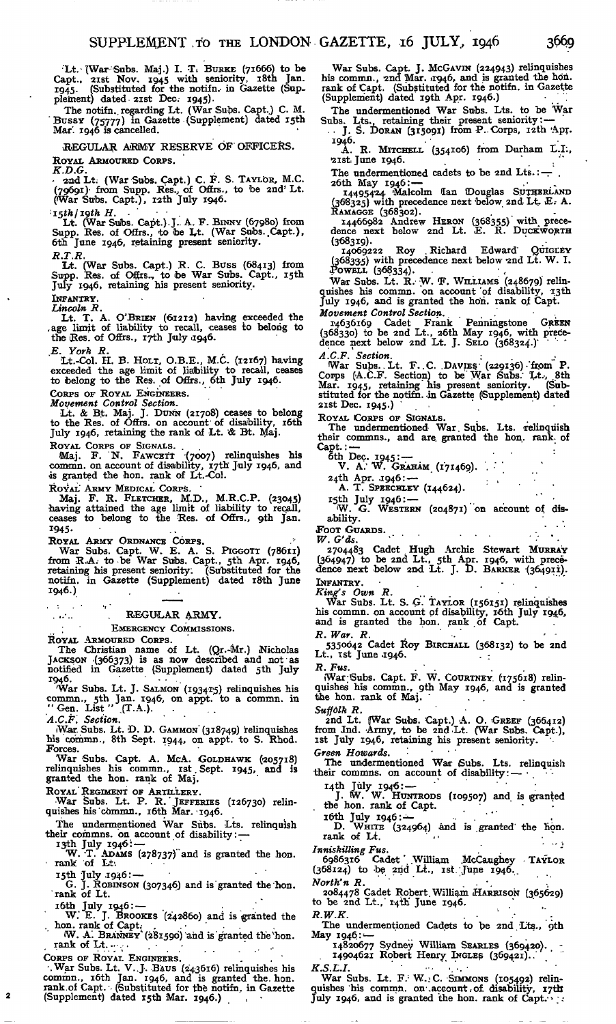Lt. (War Subs. Maj.) I. T. BURKE (71666) to be<br>Capt., 21st Nov. 1945 with seniority, 18th Jan.<br>1945. (Substituted for the notifn. in Gazette (Sup- $1945.$  (Substituted for the notifr plement) dated 21st Dec.  $1945$ .

The notifn. regarding Lt. (War Subs. Capt.) C. M. Bussy (75777) in Gazette (Supplement) dated 15th Mar'. 1946 is cancelled.

.REGULAR A'RMY RESERVE OF OFFICERS.

ROYAL ARMOURED CORPS.

*K.D.G.* • 2nd Lt. (War Subs. Capt.) C. F. S. TAYLOR, M.C. (79691) from Supp. Res., of Offrs., to be 2nd<sup>1</sup> Lt. (War Subs. Capt.), r2th July 1946.

 $i$ <sub>15</sub>th/19th  $H$ .

Lt. (War Subs. Capt.).J.. A. F. BINNY (67980) from Supp. Res. of Offrs., to toe Lt. (War Subs..Capt.), 6th June 1946, retaining present seniority.

*R T R*

Lt. (War Subs. Capt.) R. C. Buss (68413) from Supp. Res. of Offrs... to be War Subs. Capt., 15th July 1946, retaining his present seniority.

INFANTRY. *Lincoln R.*

Lt. T. A. O'BRIEN (61212) having exceeded the age limit of liability to recall, ceases to belong to the Res. of Offrs., 17th July 1946.

*E. York R.*

Lt.-Col. H. B. HOLT, O.B.E., M.C. (12167) having exceeded the age limit of liability to recall, ceases to belong to the Res. of Offrs., 6th July 1946.

CORPS OF ROYAL ENGINEERS.

*Movement Control Section.*<br>
Lt. & Bt. Maj. J. DUNN (21708) ceases to belong<br>
to the Res. of Offrs. on account of disability, 16th<br>
July 1946, retaining the rank of Lt. & Bt. Maj.

ROYAL CORPS OF SIGNALS.<br>Maj. F. N. FAWCETT (7007) relinquishes his commn. on account of disability, 17th July 1946, and<br>is granted the hon. rank of Lt.-Col.

ROYAL' ARMY MEDICAL CORPS.

Maj. F. R. FLETCHER, M.D., M.R.C.P. (23045) having attained the age limit of liability to recall, ceases to belong to the Res. of Offrs., 9th Jan. 1945-

ROYAL ARMY ORDNANCE CORPS.<br>War Subs. Capt. W. E. A. S. PIGGOTT (78611)<br>from R.A. to be War Subs. Capt., 5th Apr. 1946,<br>retaining his present seniority: (Substituted for the notifn. in Gazette (Supplement) dated i8th June 1946.)

 $\sim 10$ '.",.-..' '. REGULAR ARMY.

EMERGENCY COMMISSIONS.

ROYAL ARMOURED CORPS.<br>The Christian name of Lt. (Qr.-Mr.) Nicholas<br>JACKSON '(366373) is as now described and not-as<br>notified in Gazette (Supplement) dated 5th July  $1946.$ 

War Subs. Lt. J. SALMON (1934*T5*) relinquishes his commn., 5th Jan. 1946, on appt. to a commn. in "Gen. List " (T.A.).<br>"Gen. List " (T.A.).<br>*A.C.F. Section*.

War. Subs. Lt. D. D. GAMMON (318749) relinquishes<br>his commn., 8th Sept. 1944, on appt. to S. Rhod.<br>Forces.

War Subs. Capt. A. McA. GOLDHAWK (205718)<br>relinquishes his commn., rst Sept. 1945, and is<br>granted the hon. rank of Maj.

ROYAL REGIMENT OF ARTILLERY.<br>War Subs. Lt. P. R. JEFFERIES (126730) relin-<br>quishes his commn., 16th Mar. 1946.

The undermentioned War Subs. Lts. relinquish

their commns. on account of disability: —<br>
19th July 1946: —<br>
W. T. ADAMS (278737) and is granted the hon.<br>
rank of Lt.

I5th July .1946: —

G. J. ROBINSON (307346) and is'granted the hon. 'rank of Lt.

i6th July 1946:— .

 $\overline{\mathbf{2}}$ 

W. E. J. BROOKES (242860) and is granted the hon. rank of Capt.

W. A. BRANNEY (281590) and is granted the hon.<br>rank of Lt.

CORPS OF ROYAL ENGINEERS.<br>
War Subs. Lt. V. J. BAUS (243616) relinquishes his<br>
commn., 16th Jan. 1946, and is granted the hon.<br>
rank of Capt. (Substituted for the notifn, in Gazette (Supplement) dated i5th Mar. 1946.) . •

War Subs. Capt. J. MC&AVIN (224943) relinquishes his commn., 2nd Mar. 11946, and is granted the ho'n. rank of Capt. (Substituted for the notifn. in Gazette (Supplement) dated I9th Apr. 1946.) *'.'." •*

The undermentioned War Subs. Lts. to be War<br>Subs. Lts., retaining their present seniority:—<br>... J. S. Doran (315091) from P. Corps, 12th Apr.

1946.<br>
A. R. MITCHELL (354106) from Durham L.I.,<br>21st June 1946.

The undermentioned cadets to be 2nd Lts. :  $-$ 

26th May 1946:— 14495424 'Malcolm Ian (Douglas SUTHERLAND (368325) with precedence next below 2nd Lt.. E.- A. RAMAGGE (368302). .

14466982 Andrew HERON (368355)" with prece-dence next below 2nd Lt. E. R. DUCKWORTH

(368319).<br>14069222 Roy Richard Edward Quickey<br>(368335) with precedence next below 2nd Lt. W. I.<br>Powell (368334).

War Subs. Lt. R. W. F. WILLIAMS (248679) relin-<br>quishes his commn. on account of disability, 13th<br>July 1946, and is granted the hon. rank of Capt.<br>*Movement Control Section.*..

14636169 Cadet Frank Penningstone GREEN<br>(368330) to be 2nd Lt., 26th May 1946, with prece-<br>dence next below 2nd Lt. J. SELO (368324.)

*A.C.F. Section.*<br>War Subs. Lt. F. C. DAVIES (229136) from P. Corps (A.C.F. Section) to be War Subs. Lt., 8th<br>Mar. 1945, retaining his present seniority. (Sub-<br>stituted for the notifn. in Gazette (Supplement) dated<br>21st Dec. 1945.)

ROYAL CORPS OF SIGNALS.<br>The undermentioned War Subs. Lts. relinquish their commns., and are granted the hon. rank, of Capt. :  $\ddot{\cdot}$ 

ôth Dec. 1945: —<br>V. A. W. Graham (171469).

24th Apr. 1946: --<br>A. T. SPEECHLEY (144624).

I5th July 1946:—<br>W. G. WESTERN (204871) on account of disability.

FOOT GUARDS.<br>*W. G'ds. W. G'ds.* • • .- \* .

2704483 Cadet Hugh Archie Stewart MURRAY (364947) to be 2nd Lt., 5th Apr. 1946, with prece-dence next below 2nd Lt. J. D. BARKER '(364911). INFANTRY.

*King's Own R.*<br>War Subs. Lt. S. G. TAYLOR (156151) relinquishes<br>his commn. on account of disability, 16th July 1946,<br>and is granted the hon. rank of Capt.

*R. War. R.*<br>5350042 Cadet Roy BIRCHALL (368132) to be 2nd<br>Lt., tst June 1946.

*R. Fus. . • .* War Subs. Capt. F. W. COURTNEY (175618) relin-<br>quishes his commn., 9th May 1946, and is granted<br>the hon. rank of Maj.

Suffolk R.<br>• • 2nd Lt. (War Subs. Capt.) A. O. GREEF (366412)<br>from Jnd. Army, to be 2nd Lt. (War Subs. Capt.),<br>1st July 1946, retaining his present seniority.

Green Howards.<br>The undermentioned War Subs. Lts. relinquish The undermentioned War Subs. Lts. relinquish<br>their commns. on account of disability: —

 $I_4$ th July 1946:  $-$ J. W. W. HUNTRODS (109507) and is granted the hon. rank of Capt.

16th July 1946: $\ldots$ <br>D. WHITE (324964) and is granted the hon.<br>rank of Lt.

*Inniskilling Fus.*<br>6986316 Cadet William McCaughey TAYLOR<br>(368124) to be 2nd Lt., ist. June 1946.

*North'n R.*<br>2084478 Cadet Robert William HARRISON (365629)<br>to be 2nd Lt., 14th' June 1946.

 $R.W.K.$  $R.W.K.$ <br>The undermentioned Cadets to be 2nd Lts.,  $\phi$ th

May 1946:

14820677 Sydney William SEARLES (369420). 14904621 Robert Henry INGLES (369421)..'

*K.S.L.I.*<br>
War Subs. Lt. F.: W.: C. SIMMONS (105492) relin-<br>quishes 'his commn. on account; of disability, 17th quishes his commn. on account of disability, 17th July 1946, and is granted the hon. rank of Capt.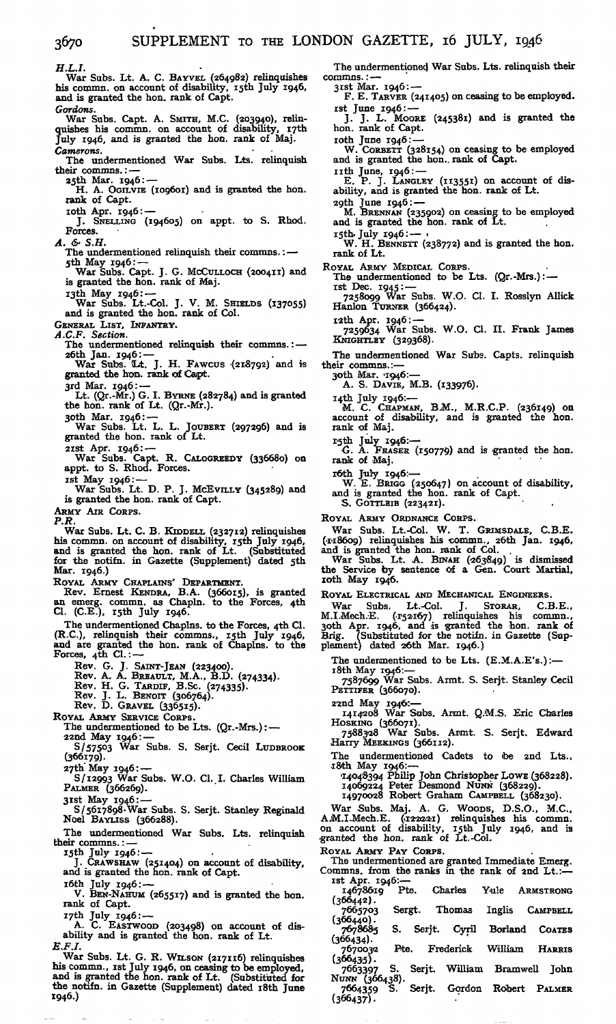*H.L.I.* War Subs. Lt. A. C. BAYVEL (264982) relinquishes his commn. on account of disability, i5th July 1946, and is granted the hon. rank of Capt. *Gordons.* War Subs. Capt. A. SMITH, M.C. (203940), relin-<br>quishes his commn. on account of disability, 17th<br>July 1946, and is granted the hon. rank of Maj. *Camerons.* The undermentioned War Subs. Lts. relinquish their commns.: 25th Mar. 1946: — H. A. OGILVIE (109601) and is granted the hon. rank of Capt. 10th Apr. 1946: J. SNELLING (194605) on appt. to S. Rhod. Forces. *A. &- S.H.* The undermentioned relinquish their commns.: — 5th May 1946: ---<br>War Subs. Capt. J. G. McCULLOCH (200411) and is granted the hon. rank of Maj. I3th May 1946: — War Subs. Lt.-Col. J. V. M. SHIELDS (137055) and is granted the hon. rank of Col. GENERAL LIST, INFANTRY. *A.C.F. Section.* The undermentioned relinquish their commns.: — 26th Jan. 1946: — War Subs. SLt. J. H. FAWCUS '(218792) and is granted the hon. rank of Capt. 3rd Mar. 1946: — Lt. (Qr.-Mr.) G. I. BYRNE (282784) and is granted the hon. rank of Lt. (Qr.-Mr.). 30th Mar.  $1946: -$ War Subs. Lt. L. L. JOUBERT (297296) and is granted the hon. rank of Lt. 2ist Apr. 1946: — War Subs. Capt. R. CALOGREEDY (336680) on appt. to S. Rhod. Forces. ist May 1946: — War Subs. Lt. D. P. J. McEviLLY (345289) and is granted the hon. rank of Capt. ARMY AIR CORPS. *P.R.* War Subs. Lt. C. B. KIDDELL (232712) relinquishes his commn. on account of disability, I5th July 1946, and is granted the hon. rank of Lt. (Substituted for the notifn. in Gazette (Supplement) dated 5th Mar. 1946.) ROYAL ARMY CHAPLAINS' DEPARTMENT. Rev. Ernest KENDRA, B.A. (366015), is granted an emerg. commn. as Chapln. to the Forces, 4th Cl. (C.E.), isth July 1946. The undermentioned Chaplns. to the Forces, 4th Cl. (R.C.), relinquish their commns., I5th July 1946, and are granted the hon. rank of Chaplns. to the Forces,  $4\bar{t}h$  Cl.:-Rev. G. J. SAINT-JEAN (223400). Rev. A. A. BREAULT, M.A., B.D. (274334). Rev. H. G. TARDIF, B.Sc. (274335). Rev. J. L. BENOIT (306764). Rev. D. GRAVEL (336515). ROYAL ARMY SERVICE CORPS. The undermentioned to be Lts.  $(Qr.-Mrs.):$  -22nd May 1946:-S/57503 War Subs. S. Serjt. Cecil LUDBROOK (366179). 27th' May 1946: — S/12993 War Subs. W.O. Cl. I. Charles William PALMER (366269). 3ist May 1946: — 8/5617898-War Subs. S. Serjt. Stanley Reginald Noel BAYLISS (366288). The undermentioned War Subs. Lts. relinquish their commns.: — I5th July 1946: — J. CRAWSHAW (251404) on account of disability, and is granted the hon. rank of Capt.  $i$ 6th July 1946:  $-$ V. BEN-NAHUM (265517) and is granted the hon. rank of Capt. 17th July 1946: --A. C. EASTWOOD (203498) on account of dis-ability and is granted the hon. rank of Lt. *E.F.I.* commns.: 3ist Mar. 1946: —

War Subs. Lt. G. R. WILSON (217116) relinquishes<br>his commn., ist July 1946, on ceasing to be employed,<br>and is granted the hon. rank of Lt. (Substituted for<br>the notifn. in Gazette (Supplement) dated 18th June 1946.)

The undermentioned War Subs. Lts. relinquish their

F. E. TARVER (241405) on ceasing to be employed,

ist June 1946:— J. J. L. MOORE (245381) and is granted the hon. rank of Capt.

loth June 1946:— W. CORBETT (328154) on ceasing to be employed and is granted the hon.. rank of Capt.

nth June, 1946: — E. P. J. LANGLEY (113551) on account of dis-ability, and is granted the hon. rank of Lt.

2gth June 1946:— M. BRENNAN (235902) on ceasing to be employed and is granted the hon. rank of Lt.

15th. July 1946:—  $\cdot$ <br>W. H. BENNETT (238772) and is granted the hon. rank of Lt.

ROYAL ARMY MEDICAL CORPS. The undermentioned to be Lts. (Qr.-Mrs.): —

ist Dec. 1945: — 7258099 War Subs. W.O. Cl. I. Rosslyn Allick Hanlon TURNER (366424).

i2th Apr. 1946: — 7259634 War Subs. W.O. Cl. II. Frank James KMGHTLEY (329368).

The undermentioned War Subs. Capts. relinquish their commns.:—

3Oth Mar. '1946:— A. S. DAVIE, M.B. (133976).

I4th July 1946:— M. C. CHAPMAN, B.M., M.R.C.P. (236149) on account of disability, and is granted the hon. rank of Maj.

r5th July 1946:-<br>
G. A. FRASER (150779) and is granted the hon.<br>
rank of Maj.

16th July 1946.<br>W. E. BRIGG (250647) on account of disability,<br>and is granted the hon. rank of Capt.<br>S. GOTTLEIB (223421).

ROYAL ARMY ORDNANCE CORPS.

War Subs. Lt.-Col. W. T. GRIMSDALE, C.B.E. (•1-18609) relinquishes his commn., 26th Jan. 1946,

and is granted the hon. rank of Col.<br>War Subs. Lt. A. BINAH (263849) is dismissed<br>the Service by sentence of a Gen. Court Martial, xoth May 1946.

ROYAL ELECTRICAL AND MECHANICAL ENGINEERS.

War Subs. Lt.-Col. J. STORAR, C.B.E., M.I.Mech.E. (152167) relinquishes his commn.,<br>30th Apr. 1946, and is granted the hon. rank of Brig. (Substituted for the notifn. in Gazette (Supplement) dated 26th Mar. 1946.)

The undermentioned to be Lts.  $(E.M.A.E's.)$ :-

18th May 1946:—

7587699 War Subs. Armt. S. Serjt. Stanley Cecil PETTIFER (366070).

22nd May 1946:—

1414208 War Subs. Armt. Q.M.S. Eric Charles

Hosking (366071).<br>7588328 War Subs. Armt. S. Serjt. Edward<br>Harry MEEKINGS (366112).

The undermentioned Cadets to be 2nd Lts., .i8th May 1946:—

'14048394 Philip John Christopher LOWE (368228). 14069224 Peter Desmond NUNN (368229). 14970028 Robert Graham CAMPBELL (368230).

War Subs. Maj. A. G. WOODS, D.S.O., M.C., A.M.I.Mech.E. (172221) relinquishes his commn.<br>on account of disability, 15th July 1946, and is<br>granted the hon. rank of Lt.-Col.

ROYAL ARMY PAY CORPS.

The undermentioned are granted Immediate Emerg. Commns. from the ranks in the rank of 2nd Lt.: ist Apr. 1946:—

| 14678619       | Pte. |        | Charles Yule |                             |         |                 | <b>ARMSTRONG</b>             |
|----------------|------|--------|--------------|-----------------------------|---------|-----------------|------------------------------|
| (366442).      |      |        |              |                             |         |                 |                              |
| 7665703        |      | Sergt. |              | Thomas                      |         | Inglis CAMPBELL |                              |
| (366440).      |      |        |              |                             |         |                 |                              |
| 7678685        | S.   |        |              | Serjt. Cyril Borland COATES |         |                 |                              |
| (366434).      |      |        |              |                             |         |                 |                              |
| 7670032        | Pte. |        |              | Frederick                   | William |                 | <b>HARRIS</b>                |
| $(366435)$ .   |      |        |              |                             |         |                 |                              |
| 7663397        | S.   |        |              |                             |         |                 | Serit. William Bramwell John |
| NUNN (366438). |      |        |              |                             |         |                 |                              |
| 7664359        | s.   |        |              | Serjt. Gordon Robert PALMER |         |                 |                              |
| (366437).      |      |        |              |                             |         |                 |                              |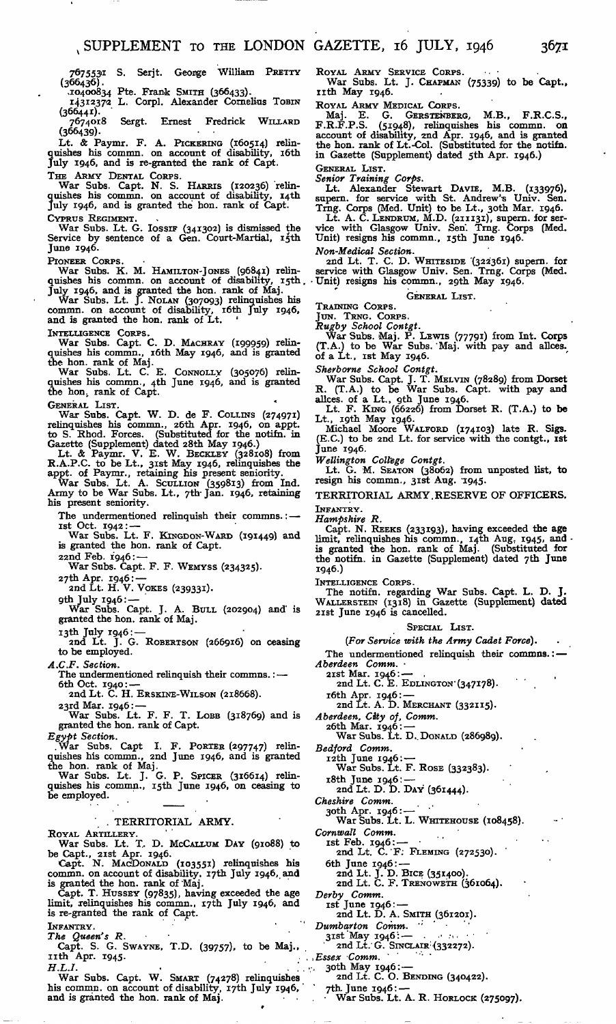767553'<sup>1</sup> S. Serjt. George William PRETTY (366436).

>i04oc>834 Pte. Frank SMITH (366433). 14312372 L. Corpl. Alexander Cornelius TOBIN

 $(366441)$ . Sergt. Ernest Fredrick WILLARD  $7674018$ <br>(366439).

Lt. & Paymr. F. A. PICKERING (160514) relin-quishes his commn. on account of disability, i6th July 1946, and is re-granted the rank of Capt.

THE ARMY DENTAL CORPS.<br>War Subs. Capt. N. S. HARRIS (120236) relin-<br>quishes his commn. on account of disability, 14th<br>July 1946, and is granted the hon. rank of Capt. CYPRUS REGIMENT.

War Subs. Lt. G. IOSSIF (341302) is dismissed the Service by sentence of a Gen. Court-Martial, 15th June 1946.

PIONEER CORPS.<br>War Subs. K. M. HAMILTON-JONES (96841) relinquishes his commn. on account of disability, 15th quishes his plus 1946, and is granted the hon. rank of Maj.<br>War Subs. Lt. J. NOLAN (307093) relinquishes his comm

and is granted the hon. rank of Lt. '

INTELLIGENCE CORPS. War Subs. Capt. C. D. MACHRAY (199959) relin-quishes his commn., i6th May 1946, and is granted

the hon. rank of Maj. War Subs. Lt. C. E. CONNOLLY (305076) relin-quishes his commn., 4th June 1946, and is granted the hon, rank of Capt.

GENERAL LIST.<br>
War Subs. Capt. W. D. de F. COLLINS (274971)<br>
relinquishes his commn., 26th Apr. 1946, on appt.<br>
to S. Rhod. Forces. (Substituted for the notifn. in<br>
Gazette (Supplement) dated 28th May 1946.<br>
Lt. & Paymr. V

War Subs. Lt. A. SCULLION (359813) from Ind. Army to be War Subs. Lt., 7th- Jan. 1946, retaining his present seniority.

The undermentioned relinquish their commns.:ist Oct. 1942: — War Subs. Lt. F. KINGDON-WARD (191449) and

is granted the hon. rank of Capt.

22nd Feb. 1946: — War Subs. Capt. F. F. WEMYSS (234325).

27th Apr. 1946: —

2nd Lt. H. V. VOKES (239331).

gth July 1946: —

War Subs. Capt. J. A. BULL (202904) and' is granted the hon. rank of Maj.

13th July 1946: — 2nd Lt. J. G. ROBERTSON (266916) on ceasing to be employed.

*A.C.F. Section.*

The undermentioned relinquish their commns.: — 6th Oct. 1940: —

2nd Lt. C. H. ERSKINE-WILSON (218668).

23rd Mar. 1946: — War Subs. Lt. F. F. T. LOBB (318769) and is granted the hon. rank of Capt.

*Egypt Section.* .War Subs. Capt I. F. PORTER (297747) relinquishes his commn., 2nd June 1946, and is granted

the hon. rank of Maj. War Subs. Lt. J. G. P. SPICER (316614) relin-quishes his icommn., i5th June 1946, on ceasing to be employed.

#### . TERRITORIAL ARMY.

ROYAL ARTILLERY.<br>War Subs. Lt. T. D. McCALLUM DAY (91088) to<br>be Capt., 21st Apr. 1946.<br>Capt. N. MacDoNALD (103551) relinquishes his<br>commn. on account of disability. 17th July 1946, and

is granted the hon. rank of Maj.<br>Capt. T. HUSSEY (97835), having exceeded the age limit, relinquishes his commn., i7th July 1946, and is re-granted the rank of Capt.

INFANTRY.<br>*The Queen's R*.<br>'Capt. S. G. Swayne, T.D. (39757), to be Maj., nth Apr. 1945.

H.L.I. **War Subs. Capt. W. SMART (74278) relinquishes** his commn. on account of disability, 17th July 1946, and is granted the hon. rank of Maj.

ROYAL ARMY SERVICE CORPS.<br>War Subs. Lt. J. CHAPMAN (75339) to be Capt., rith May 1946.

ROYAL ARMY MEDICAL CORPS.

Maj. E. G. GERSTENBERG, M.B., F.R.C.S., F.R.F.P.S. (51948), relinquishes his commn. on account of disability, 2nd Apr. 1946, and is granted the hon. rank of Lt.-Col. (Substituted for the notifn. in Gazette (Supplement) dated 5th Apr. 1946.) GENERAL LIST.

*Senior Training Corps.* Lt. Alexander Stewart DAVIE, M.B. (133976), supern. for service with St. Andrew's Univ. Sen.<br>Trng. Corps (Med. Unit) to be Lt., 3oth Mar. 1946.<br>Lt. A. C. LENDRUM, M.D. (211131), supern. for ser-

vice with Glasgow Univ. Sen'. Trng. Corps (Med. Unit) resigns his commn., i5th June 1946.

*Non-Medical Section.* and Lt. T. C. D. WHITESIDE '(322361) supern. for service with Glasgow Univ. Sen. Trng. Corps (Med. •Unit) resigns his commn., 29th May 1946.

#### GENERAL LIST.

TRAINING CORPS.

JUN. TRNG. CORPS. *Rugby School Contgt.*

War Subs. Maj. P. LEWIS (77991) from Int. Corps (T.A.) to be War Subs. Maj. with pay and allces.<br>of a Lt., ist May 1946.

*Sherborne School Contgt.* War Subs. Capt. J. T. MELVIN (78289) from Dorset

R. (T.A.) to be War Subs. Capt. with pay and<br>allces. of a Lt., 9th June 1946.<br>Lt. F. King (66226) from Dorset R. (T.A.) to be<br>Lt., 19th May 1946.<br>Michael Moore WALFORD (174103) late R. Sigs.<br>(E.C.) to be 2nd Lt. for servic

*Wellington College Contgt.* Lt. G. M. SEATON (38062) from unposted list, to resign his commn., 3ist Aug. '1945.

#### TERRITORIAL ARMY.RESERVE OF OFFICERS. INFANTRY.

*Hampshire R.*

Capt. N. REEKS (233193), having exceeded the age limit, relinquishes his commn., I4th Aug. 1945, and is granted the hon. rank of Maj. (Substituted for the notifn. in Gazette (Supplement) dated 7th June 1946.)

INTELLIGENCE CORPS. The notifn. regarding War Subs. Capt. L. D. J. WALLERSTEIN (1318) in Gazette (Supplement) dated 2ist June 1946 is cancelled.

#### SPECIAL LIST.

*(For Service with the Army Cadet Force}.* The undermentioned relinquish their commns.:-

*Aberdeen Comm.*<br>
21st Mar. 1946: —<br>
2nd Lt. C. E. EDLINGTON (347178).

i6th Apr. 1946: — 2nd Lt. A. D. MERCHANT (332115).

*Aberdeen, City of, Comm.*

26th Mar. 1946: — War Subs. Lt. D..DONALD (286989).

*Bedford Comm.*

12th June 1946: — War Subs. Lt. F. ROSE (332383).

i8th June 1946:— 2nd Lt. D. D. DAY (361444).

*Cheshire Comm.*

 $\epsilon = 10$ 

3oth Apr. 1946: — War Subs. Lt. L. WHITEHOUSE (108458).

*Cornwall Comm.*

ist Feb. 1946:— • .. .

and Lt. C.'F: FLEMING (272530).

6th June 1946:— 2nd Lt. J. D. BICE (351400). 2nd Lt. C. F. TRENOWETH (361064).

*Derby Comm.*<br>
ist June 1946: —<br>
2nd Lt. D. A. SMITH (361201).

*Dumbarton Comm. "*

31st May 1946: —<br>31st May 1946: —<br>' 2nd Lt. G. SINCLAIR (332272).

*Essex Comm.*<br>30th May 1946: —<br>2nd Lt. C. O. BENDING (340422).

7th. June 1946: —<br>• War Subs. Lt. A. R. Horlock (275097).